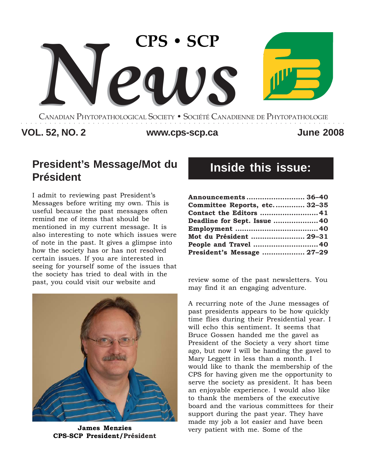

CANADIAN PHYTOPATHOLOGICAL SOCIETY **•** SOCIÉTÉ CANADIENNE DE PHYTOPATHOLOGIE ○○○○○○○○○○○○○○○○○○○○○○○○○○○○○○○○○○○○○○○○○○○○○○○○○○○○○○○○○○○○○○○○○○○○

### **VOL. 52, NO. 2 June 2008 www.cps-scp.ca**

# **President's Message/Mot du Président**

I admit to reviewing past President's Messages before writing my own. This is useful because the past messages often remind me of items that should be mentioned in my current message. It is also interesting to note which issues were of note in the past. It gives a glimpse into how the society has or has not resolved certain issues. If you are interested in seeing for yourself some of the issues that the society has tried to deal with in the past, you could visit our website and review some of the past newsletters. You



**James Menzies CPS-SCP President/Président**

# **Inside this issue:**

| Announcements  36-40         |  |
|------------------------------|--|
| Committee Reports, etc 32-35 |  |
| Contact the Editors 41       |  |
| Deadline for Sept. Issue 40  |  |
|                              |  |
| Mot du Président  29-31      |  |
| People and Travel  40        |  |
| President's Message  27-29   |  |

may find it an engaging adventure.

A recurring note of the June messages of past presidents appears to be how quickly time flies during their Presidential year. I will echo this sentiment. It seems that Bruce Gossen handed me the gavel as President of the Society a very short time ago, but now I will be handing the gavel to Mary Leggett in less than a month. I would like to thank the membership of the CPS for having given me the opportunity to serve the society as president. It has been an enjoyable experience. I would also like to thank the members of the executive board and the various committees for their support during the past year. They have made my job a lot easier and have been very patient with me. Some of the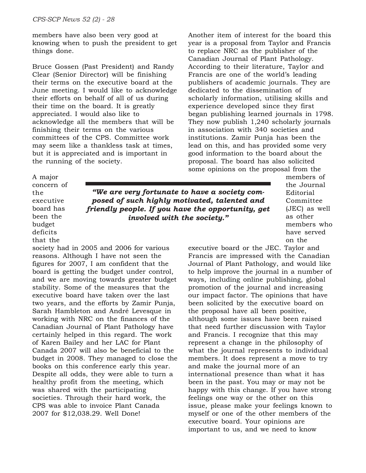members have also been very good at knowing when to push the president to get things done.

Bruce Gossen (Past President) and Randy Clear (Senior Director) will be finishing their terms on the executive board at the June meeting. I would like to acknowledge their efforts on behalf of all of us during their time on the board. It is greatly appreciated. I would also like to acknowledge all the members that will be finishing their terms on the various committees of the CPS. Committee work may seem like a thankless task at times, but it is appreciated and is important in the running of the society.

Another item of interest for the board this year is a proposal from Taylor and Francis to replace NRC as the publisher of the Canadian Journal of Plant Pathology. According to their literature, Taylor and Francis are one of the world's leading publishers of academic journals. They are dedicated to the dissemination of scholarly information, utilising skills and experience developed since they first began publishing learned journals in 1798. They now publish 1,240 scholarly journals in association with 340 societies and institutions. Zamir Punja has been the lead on this, and has provided some very good information to the board about the proposal. The board has also solicited some opinions on the proposal from the

A major concern of the executive board has been the budget deficits that the

*"We are very fortunate to have a society composed of such highly motivated, talented and friendly people. If you have the opportunity, get involved with the society."*

members of the Journal Editorial Committee (JEC) as well as other members who have served on the

society had in 2005 and 2006 for various reasons. Although I have not seen the figures for 2007, I am confident that the board is getting the budget under control, and we are moving towards greater budget stability. Some of the measures that the executive board have taken over the last two years, and the efforts by Zamir Punja, Sarah Hambleton and André Levesque in working with NRC on the finances of the Canadian Journal of Plant Pathology have certainly helped in this regard. The work of Karen Bailey and her LAC for Plant Canada 2007 will also be beneficial to the budget in 2008. They managed to close the books on this conference early this year. Despite all odds, they were able to turn a healthy profit from the meeting, which was shared with the participating societies. Through their hard work, the CPS was able to invoice Plant Canada 2007 for \$12,038.29. Well Done!

executive board or the JEC. Taylor and Francis are impressed with the Canadian Journal of Plant Pathology, and would like to help improve the journal in a number of ways, including online publishing, global promotion of the journal and increasing our impact factor. The opinions that have been solicited by the executive board on the proposal have all been positive, although some issues have been raised that need further discussion with Taylor and Francis. I recognize that this may represent a change in the philosophy of what the journal represents to individual members. It does represent a move to try and make the journal more of an international presence than what it has been in the past. You may or may not be happy with this change. If you have strong feelings one way or the other on this issue, please make your feelings known to myself or one of the other members of the executive board. Your opinions are important to us, and we need to know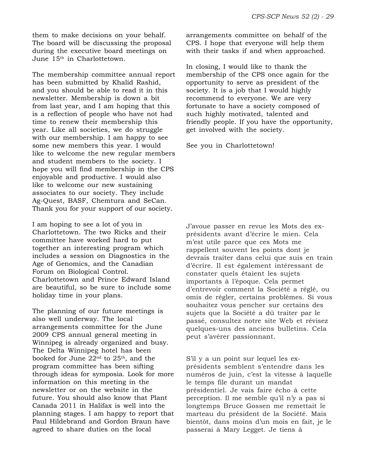them to make decisions on your behalf. The board will be discussing the proposal during the executive board meetings on June 15<sup>th</sup> in Charlottetown.

The membership committee annual report has been submitted by Khalid Rashid, and you should be able to read it in this newsletter. Membership is down a bit from last year, and I am hoping that this is a reflection of people who have not had time to renew their membership this year. Like all societies, we do struggle with our membership. I am happy to see some new members this year. I would like to welcome the new regular members and student members to the society. I hope you will find membership in the CPS enjoyable and productive. I would also like to welcome our new sustaining associates to our society. They include Ag-Quest, BASF, Chemtura and SeCan. Thank you for your support of our society.

I am hoping to see a lot of you in Charlottetown. The two Ricks and their committee have worked hard to put together an interesting program which includes a session on Diagnostics in the Age of Genomics, and the Canadian Forum on Biological Control. Charlottetown and Prince Edward Island are beautiful, so be sure to include some holiday time in your plans.

The planning of our future meetings is also well underway. The local arrangements committee for the June 2009 CPS annual general meeting in Winnipeg is already organized and busy. The Delta Winnipeg hotel has been booked for June  $22<sup>nd</sup>$  to  $25<sup>th</sup>$ , and the program committee has been sifting through ideas for symposia. Look for more information on this meeting in the newsletter or on the website in the future. You should also know that Plant Canada 2011 in Halifax is well into the planning stages. I am happy to report that Paul Hildebrand and Gordon Braun have agreed to share duties on the local

arrangements committee on behalf of the CPS. I hope that everyone will help them with their tasks if and when approached.

In closing, I would like to thank the membership of the CPS once again for the opportunity to serve as president of the society. It is a job that I would highly recommend to everyone. We are very fortunate to have a society composed of such highly motivated, talented and friendly people. If you have the opportunity, get involved with the society.

See you in Charlottetown!

J'avoue passer en revue les Mots des exprésidents avant d'écrire le mien. Cela m'est utile parce que ces Mots me rappellent souvent les points dont je devrais traiter dans celui que suis en train d'écrire. Il est également intéressant de constater quels étaient les sujets importants à l'époque. Cela permet d'entrevoir comment la Société a réglé, ou omis de régler, certains problèmes. Si vous souhaitez vous pencher sur certains des sujets que la Société a dû traiter par le passé, consultez notre site Web et révisez quelques-uns des anciens bulletins. Cela peut s'avérer passionnant.

S'il y a un point sur lequel les exprésidents semblent s'entendre dans les numéros de juin, c'est la vitesse à laquelle le temps file durant un mandat présidentiel. Je vais faire écho à cette perception. Il me semble qu'il n'y a pas si longtemps Bruce Gossen me remettait le marteau du président de la Société. Mais bientôt, dans moins d'un mois en fait, je le passerai à Mary Legget. Je tiens à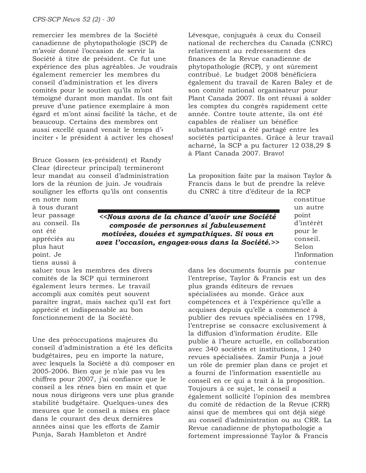remercier les membres de la Société canadienne de phytopathologie (SCP) de m'avoir donné l'occasion de servir la Société à titre de président. Ce fut une expérience des plus agréables. Je voudrais également remercier les membres du conseil d'administration et les divers comités pour le soutien qu'ils m'ont témoigné durant mon mandat. Ils ont fait preuve d'une patience exemplaire à mon égard et m'ont ainsi facilité la tâche, et de beaucoup. Certains des membres ont aussi excellé quand venait le temps d'« inciter » le président à activer les choses!

Bruce Gossen (ex-président) et Randy Clear (directeur principal) termineront leur mandat au conseil d'administration lors de la réunion de juin. Je voudrais souligner les efforts qu'ils ont consentis

Lévesque, conjugués à ceux du Conseil national de recherches du Canada (CNRC) relativement au redressement des finances de la Revue canadienne de phytopathologie (RCP), y ont sûrement contribué. Le budget 2008 bénéficiera également du travail de Karen Baley et de son comité national organisateur pour Plant Canada 2007. Ils ont réussi à solder les comptes du congrès rapidement cette année. Contre toute attente, ils ont été capables de réaliser un bénéfice substantiel qui a été partagé entre les sociétés participantes. Grâce à leur travail acharné, la SCP a pu facturer 12 038,29 \$ à Plant Canada 2007. Bravo!

La proposition faite par la maison Taylor & Francis dans le but de prendre la relève du CNRC à titre d'éditeur de la RCP

en notre nom à tous durant leur passage au conseil. Ils ont été appréciés au plus haut point. Je tiens aussi à

*<<Nous avons de la chance d'avoir une Société composée de personnes si fabuleusement motivées, douées et sympathiques. Si vous en avez l'occasion, engagez-vous dans la Société.>>* constitue un autre point d'intérêt pour le conseil. Selon l'information contenue

saluer tous les membres des divers comités de la SCP qui termineront également leurs termes. Le travail accompli aux comités peut souvent paraître ingrat, mais sachez qu'il est fort apprécié et indispensable au bon fonctionnement de la Société.

Une des préoccupations majeures du conseil d'administration a été les déficits budgétaires, peu en importe la nature, avec lesquels la Société a dû composer en 2005-2006. Bien que je n'aie pas vu les chiffres pour 2007, j'ai confiance que le conseil a les rênes bien en main et que nous nous dirigeons vers une plus grande stabilité budgétaire. Quelques-unes des mesures que le conseil a mises en place dans le courant des deux dernières années ainsi que les efforts de Zamir Punja, Sarah Hambleton et André

dans les documents fournis par l'entreprise, Taylor & Francis est un des plus grands éditeurs de revues spécialisées au monde. Grâce aux compétences et à l'expérience qu'elle a acquises depuis qu'elle a commencé à publier des revues spécialisées en 1798, l'entreprise se consacre exclusivement à la diffusion d'information érudite. Elle publie à l'heure actuelle, en collaboration avec 340 sociétés et institutions, 1 240 revues spécialisées. Zamir Punja a joué un rôle de premier plan dans ce projet et a fourni de l'information essentielle au conseil en ce qui a trait à la proposition. Toujours à ce sujet, le conseil a également sollicité l'opinion des membres du comité de rédaction de la Revue (CRR) ainsi que de membres qui ont déjà siégé au conseil d'administration ou au CRR. La Revue canadienne de phytopathologie a fortement impressionné Taylor & Francis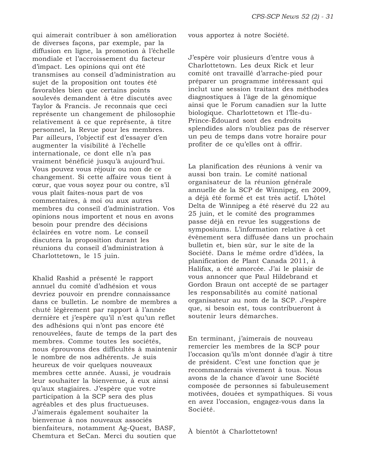qui aimerait contribuer à son amélioration de diverses façons, par exemple, par la diffusion en ligne, la promotion à l'échelle mondiale et l'accroissement du facteur d'impact. Les opinions qui ont été transmises au conseil d'administration au sujet de la proposition ont toutes été favorables bien que certains points soulevés demandent à être discutés avec Taylor & Francis. Je reconnais que ceci représente un changement de philosophie relativement à ce que représente, à titre personnel, la Revue pour les membres. Par ailleurs, l'objectif est d'essayer d'en augmenter la visibilité à l'échelle internationale, ce dont elle n'a pas vraiment bénéficié jusqu'à aujourd'hui. Vous pouvez vous réjouir ou non de ce changement. Si cette affaire vous tient à cœur, que vous soyez pour ou contre, s'il vous plaît faites-nous part de vos commentaires, à moi ou aux autres membres du conseil d'administration. Vos opinions nous importent et nous en avons besoin pour prendre des décisions éclairées en votre nom. Le conseil discutera la proposition durant les réunions du conseil d'administration à Charlottetown, le 15 juin.

Khalid Rashid a présenté le rapport annuel du comité d'adhésion et vous devriez pouvoir en prendre connaissance dans ce bulletin. Le nombre de membres a chuté légèrement par rapport à l'année dernière et j'espère qu'il n'est qu'un reflet des adhésions qui n'ont pas encore été renouvelées, faute de temps de la part des membres. Comme toutes les sociétés, nous éprouvons des difficultés à maintenir le nombre de nos adhérents. Je suis heureux de voir quelques nouveaux membres cette année. Aussi, je voudrais leur souhaiter la bienvenue, à eux ainsi qu'aux stagiaires. J'espère que votre participation à la SCP sera des plus agréables et des plus fructueuses. J'aimerais également souhaiter la bienvenue à nos nouveaux associés bienfaiteurs, notamment Ag-Quest, BASF, Chemtura et SeCan. Merci du soutien que

vous apportez à notre Société.

J'espère voir plusieurs d'entre vous à Charlottetown. Les deux Rick et leur comité ont travaillé d'arrache-pied pour préparer un programme intéressant qui inclut une session traitant des méthodes diagnostiques à l'âge de la génomique ainsi que le Forum canadien sur la lutte biologique. Charlottetown et l'Île-du-Prince-Édouard sont des endroits splendides alors n'oubliez pas de réserver un peu de temps dans votre horaire pour profiter de ce qu'elles ont à offrir.

La planification des réunions à venir va aussi bon train. Le comité national organisateur de la réunion générale annuelle de la SCP de Winnipeg, en 2009, a déjà été formé et est très actif. L'hôtel Delta de Winnipeg a été réservé du 22 au 25 juin, et le comité des programmes passe déjà en revue les suggestions de symposiums. L'information relative à cet évènement sera diffusée dans un prochain bulletin et, bien sûr, sur le site de la Société. Dans le même ordre d'idées, la planification de Plant Canada 2011, à Halifax, a été amorcée. J'ai le plaisir de vous annoncer que Paul Hildebrand et Gordon Braun ont accepté de se partager les responsabilités au comité national organisateur au nom de la SCP. J'espère que, si besoin est, tous contribueront à soutenir leurs démarches.

En terminant, j'aimerais de nouveau remercier les membres de la SCP pour l'occasion qu'ils m'ont donnée d'agir à titre de président. C'est une fonction que je recommanderais vivement à tous. Nous avons de la chance d'avoir une Société composée de personnes si fabuleusement motivées, douées et sympathiques. Si vous en avez l'occasion, engagez-vous dans la Société.

À bientôt à Charlottetown!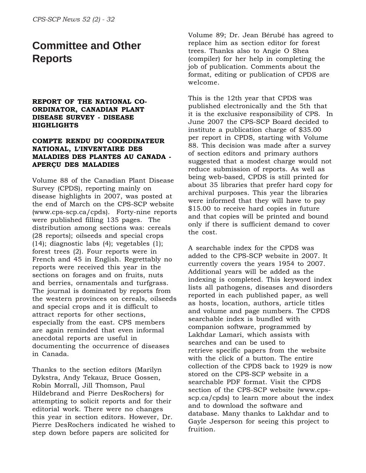# **Committee and Other Reports**

### **REPORT OF THE NATIONAL CO-ORDINATOR, CANADIAN PLANT DISEASE SURVEY - DISEASE HIGHLIGHTS**

### **COMPTE RENDU DU COORDINATEUR NATIONAL, L**=**INVENTAIRE DES MALADIES DES PLANTES AU CANADA - APERÇU DES MALADIES**

Volume 88 of the Canadian Plant Disease Survey (CPDS), reporting mainly on disease highlights in 2007, was posted at the end of March on the CPS-SCP website (www.cps-scp.ca/cpds). Forty-nine reports were published filling 135 pages. The distribution among sections was: cereals (28 reports); oilseeds and special crops (14); diagnostic labs (4); vegetables (1); forest trees (2). Four reports were in French and 45 in English. Regrettably no reports were received this year in the sections on forages and on fruits, nuts and berries, ornamentals and turfgrass. The journal is dominated by reports from the western provinces on cereals, oilseeds and special crops and it is difficult to attract reports for other sections, especially from the east. CPS members are again reminded that even informal anecdotal reports are useful in documenting the occurrence of diseases in Canada.

Thanks to the section editors (Marilyn Dykstra, Andy Tekauz, Bruce Gossen, Robin Morrall, Jill Thomson, Paul Hildebrand and Pierre DesRochers) for attempting to solicit reports and for their editorial work. There were no changes this year in section editors. However, Dr. Pierre DesRochers indicated he wished to step down before papers are solicited for

Volume 89; Dr. Jean Bérubé has agreed to replace him as section editor for forest trees. Thanks also to Angie O Shea (compiler) for her help in completing the job of publication. Comments about the format, editing or publication of CPDS are welcome.

This is the 12th year that CPDS was published electronically and the 5th that it is the exclusive responsibility of CPS. In June 2007 the CPS-SCP Board decided to institute a publication charge of \$35.00 per report in CPDS, starting with Volume 88. This decision was made after a survey of section editors and primary authors suggested that a modest charge would not reduce submission of reports. As well as being web-based, CPDS is still printed for about 35 libraries that prefer hard copy for archival purposes. This year the libraries were informed that they will have to pay \$15.00 to receive hard copies in future and that copies will be printed and bound only if there is sufficient demand to cover the cost.

A searchable index for the CPDS was added to the CPS-SCP website in 2007. It currently covers the years 1954 to 2007. Additional years will be added as the indexing is completed. This keyword index lists all pathogens, diseases and disorders reported in each published paper, as well as hosts, location, authors, article titles and volume and page numbers. The CPDS searchable index is bundled with companion software, programmed by Lakhdar Lamari, which assists with searches and can be used to retrieve specific papers from the website with the click of a button. The entire collection of the CPDS back to 1929 is now stored on the CPS-SCP website in a searchable PDF format. Visit the CPDS section of the CPS-SCP website (www.cpsscp.ca/cpds) to learn more about the index and to download the software and database. Many thanks to Lakhdar and to Gayle Jesperson for seeing this project to fruition.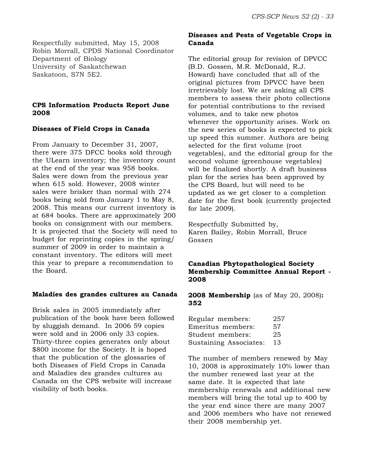Respectfully submitted, May 15, 2008 Robin Morrall, CPDS National Coordinator Department of Biology University of Saskatchewan Saskatoon, S7N 5E2.

### **CPS Information Products Report June 2008**

### **Diseases of Field Crops in Canada**

From January to December 31, 2007, there were 375 DFCC books sold through the ULearn inventory; the inventory count at the end of the year was 958 books. Sales were down from the previous year when 615 sold. However, 2008 winter sales were brisker than normal with 274 books being sold from January 1 to May 8, 2008. This means our current inventory is at 684 books. There are approximately 200 books on consignment with our members. It is projected that the Society will need to budget for reprinting copies in the spring/ summer of 2009 in order to maintain a constant inventory. The editors will meet this year to prepare a recommendation to the Board.

### **Maladies des grandes cultures au Canada**

Brisk sales in 2005 immediately after publication of the book have been followed by sluggish demand. In 2006 59 copies were sold and in 2006 only 33 copies. Thirty-three copies generates only about \$800 income for the Society. It is hoped that the publication of the glossaries of both Diseases of Field Crops in Canada and Maladies des grandes cultures au Canada on the CPS website will increase visibility of both books.

### **Diseases and Pests of Vegetable Crops in Canada**

The editorial group for revision of DPVCC (B.D. Gossen, M.R. McDonald, R.J. Howard) have concluded that all of the original pictures from DPVCC have been irretrievably lost. We are asking all CPS members to assess their photo collections for potential contributions to the revised volumes, and to take new photos whenever the opportunity arises. Work on the new series of books is expected to pick up speed this summer. Authors are being selected for the first volume (root vegetables), and the editorial group for the second volume (greenhouse vegetables) will be finalized shortly. A draft business plan for the series has been approved by the CPS Board, but will need to be updated as we get closer to a completion date for the first book (currently projected for late 2009).

Respectfully Submitted by, Karen Bailey, Robin Morrall, Bruce Gossen

### **Canadian Phytopathological Society Membership Committee Annual Report - 2008**

**2008 Membership** (as of May 20, 2008)**: 352**

| Regular members:              | 257 |
|-------------------------------|-----|
| Emeritus members:             | 57  |
| Student members:              | 25  |
| <b>Sustaining Associates:</b> | 13  |

The number of members renewed by May 10, 2008 is approximately 10% lower than the number renewed last year at the same date. It is expected that late membership renewals and additional new members will bring the total up to 400 by the year end since there are many 2007 and 2006 members who have not renewed their 2008 membership yet.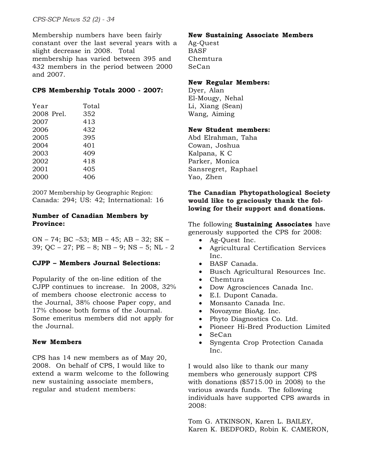Membership numbers have been fairly constant over the last several years with a slight decrease in 2008. Total membership has varied between 395 and 432 members in the period between 2000 and 2007.

### **CPS Membership Totals 2000 - 2007:**

| Year       | Total |
|------------|-------|
| 2008 Prel. | 352   |
| 2007       | 413   |
| 2006       | 432   |
| 2005       | 395   |
| 2004       | 401   |
| 2003       | 409   |
| 2002       | 418   |
| 2001       | 405   |
| 2000       | 406   |
|            |       |

2007 Membership by Geographic Region: Canada: 294; US: 42; International: 16

### **Number of Canadian Members by Province:**

ON – 74; BC –53; MB – 45; AB – 32; SK – 39; QC – 27; PE – 8; NB – 9; NS – 5; NL - 2

### **CJPP – Members Journal Selections:**

Popularity of the on-line edition of the CJPP continues to increase. In 2008, 32% of members choose electronic access to the Journal, 38% choose Paper copy, and 17% choose both forms of the Journal. Some emeritus members did not apply for the Journal.

### **New Members**

CPS has 14 new members as of May 20, 2008. On behalf of CPS, I would like to extend a warm welcome to the following new sustaining associate members, regular and student members:

### **New Sustaining Associate Members**

Ag-Quest BASF Chemtura SeCan

### **New Regular Members:**

Dyer, Alan El-Mougy, Nehal Li, Xiang (Sean) Wang, Aiming

### **New Student members:**

Abd Elrahman, Taha Cowan, Joshua Kalpana, K C Parker, Monica Sansregret, Raphael Yao, Zhen

### **The Canadian Phytopathological Society would like to graciously thank the following for their support and donations.**

The following **Sustaining Associates** have generously supported the CPS for 2008:

- Ag-Quest Inc.
- Agricultural Certification Services Inc.
- BASF Canada.
- Busch Agricultural Resources Inc.
- Chemtura
- Dow Agrosciences Canada Inc.
- E.I. Dupont Canada.
- Monsanto Canada Inc.
- Novozyme BioAg. Inc.
- Phyto Diagnostics Co. Ltd.
- Pioneer Hi-Bred Production Limited
- SeCan
- Syngenta Crop Protection Canada Inc.

I would also like to thank our many members who generously support CPS with donations (\$5715.00 in 2008) to the various awards funds. The following individuals have supported CPS awards in 2008:

Tom G. ATKINSON, Karen L. BAILEY, Karen K. BEDFORD, Robin K. CAMERON,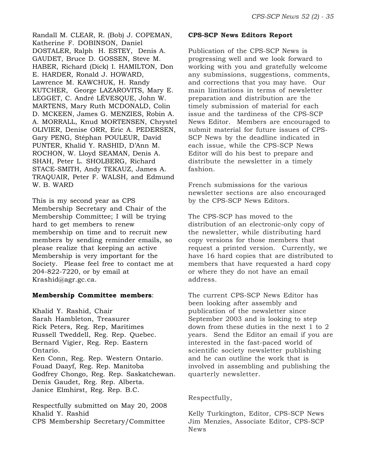Randall M. CLEAR, R. (Bob) J. COPEMAN, Katherine F. DOBINSON, Daniel DOSTALER, Ralph H. ESTEY, Denis A. GAUDET, Bruce D. GOSSEN, Steve M. HABER, Richard (Dick) I. HAMILTON, Don E. HARDER, Ronald J. HOWARD, Lawrence M. KAWCHUK, H. Randy KUTCHER, George LAZAROVITS, Mary E. LEGGET, C. André LÉVESQUE, John W. MARTENS, Mary Ruth MCDONALD, Colin D. MCKEEN, James G. MENZIES, Robin A. A. MORRALL, Knud MORTENSEN, Chrystel OLIVIER, Denise ORR, Eric A. PEDERSEN, Gary PENG, Stéphan POULEUR, David PUNTER, Khalid Y. RASHID, D'Ann M. ROCHON, W. Lloyd SEAMAN, Denis A. SHAH, Peter L. SHOLBERG, Richard STACE-SMITH, Andy TEKAUZ, James A. TRAQUAIR, Peter F. WALSH, and Edmund W. B. WARD

This is my second year as CPS Membership Secretary and Chair of the Membership Committee; I will be trying hard to get members to renew membership on time and to recruit new members by sending reminder emails, so please realize that keeping an active Membership is very important for the Society. Please feel free to contact me at 204-822-7220, or by email at Krashid@agr.gc.ca.

#### **Membership Committee members**:

Khalid Y. Rashid, Chair Sarah Hambleton, Treasurer Rick Peters, Reg. Rep, Maritimes Russell Tweddell, Reg. Rep. Quebec. Bernard Vigier, Reg. Rep. Eastern Ontario. Ken Conn, Reg. Rep. Western Ontario. Fouad Daayf, Reg. Rep. Manitoba Godfrey Chongo, Reg. Rep. Saskatchewan. Denis Gaudet, Reg. Rep. Alberta. Janice Elmhirst, Reg. Rep. B.C.

Respectfully submitted on May 20, 2008 Khalid Y. Rashid CPS Membership Secretary/Committee

#### **CPS-SCP News Editors Report**

Publication of the CPS-SCP News is progressing well and we look forward to working with you and gratefully welcome any submissions, suggestions, comments, and corrections that you may have. Our main limitations in terms of newsletter preparation and distribution are the timely submission of material for each issue and the tardiness of the CPS-SCP News Editor. Members are encouraged to submit material for future issues of CPS-SCP News by the deadline indicated in each issue, while the CPS-SCP News Editor will do his best to prepare and distribute the newsletter in a timely fashion.

French submissions for the various newsletter sections are also encouraged by the CPS-SCP News Editors.

The CPS-SCP has moved to the distribution of an electronic-only copy of the newsletter, while distributing hard copy versions for those members that request a printed version. Currently, we have 16 hard copies that are distributed to members that have requested a hard copy or where they do not have an email address.

The current CPS-SCP News Editor has been looking after assembly and publication of the newsletter since September 2003 and is looking to step down from these duties in the next 1 to 2 years. Send the Editor an email if you are interested in the fast-paced world of scientific society newsletter publishing and he can outline the work that is involved in assembling and publishing the quarterly newsletter.

### Respectfully,

Kelly Turkington, Editor, CPS-SCP News Jim Menzies, Associate Editor, CPS-SCP News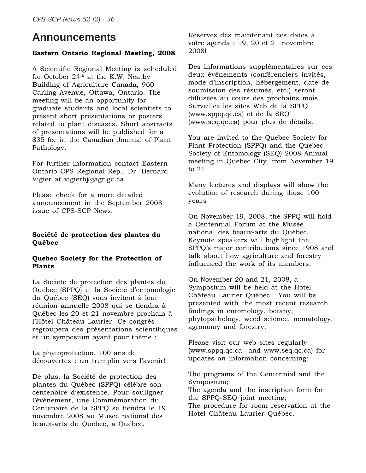### **Announcements**

### **Eastern Ontario Regional Meeting, 2008**

A Scientific Regional Meeting is scheduled for October  $24<sup>th</sup>$  at the K.W. Neatby Building of Agriculture Canada, 960 Carling Avenue, Ottawa, Ontario. The meeting will be an opportunity for graduate students and local scientists to present short presentations or posters related to plant diseases. Short abstracts of presentations will be published for a \$35 fee in the Canadian Journal of Plant Pathology.

For further information contact Eastern Ontario CPS Regional Rep., Dr. Bernard Vigier at vigierbj@agr.gc.ca

Please check for a more detailed announcement in the September 2008 issue of CPS-SCP News.

### **Société de protection des plantes du Québec**

### **Quebec Society for the Protection of Plants**

La Société de protection des plantes du Québec (SPPQ) et la Société d'entomologie du Québec (SEQ) vous invitent à leur réunion annuelle 2008 qui se tiendra à Québec les 20 et 21 novembre prochain à l'Hôtel Château Laurier. Ce congrès regroupera des présentations scientifiques et un symposium ayant pour thème :

La phytoprotection, 100 ans de découvertes : un tremplin vers l'avenir!

De plus, la Société de protection des plantes du Québec (SPPQ) célèbre son centenaire d'existence. Pour souligner l'événement, une Commémoration du Centenaire de la SPPQ se tiendra le 19 novembre 2008 au Musée national des beaux-arts du Québec, à Québec.

Réservez dès maintenant ces dates à votre agenda : 19, 20 et 21 novembre 2008!

Des informations supplémentaires sur ces deux événements (conférenciers invités, mode d'inscription, hébergement, date de soumission des résumés, etc.) seront diffusées au cours des prochains mois. Surveillez les sites Web de la SPPQ (www.sppq.qc.ca) et de la SEQ (www.seq.qc.ca) pour plus de détails.

You are invited to the Quebec Society for Plant Protection (SPPQ) and the Quebec Society of Entomology (SEQ) 2008 Annual meeting in Quebec City, from November 19 to 21.

Many lectures and displays will show the evolution of research during those 100 years

On November 19, 2008, the SPPQ will hold a Centennial Forum at the Musée national des beaux-arts du Québec. Keynote speakers will highlight the SPPQ's major contributions since 1908 and talk about how agriculture and forestry influenced the work of its members.

On November 20 and 21, 2008, a Symposium will be held at the Hotel Château Laurier Québec. You will be presented with the most recent research findings in entomology, botany, phytopathology, weed science, nematology, agronomy and forestry.

Please visit our web sites regularly (www.sppq.qc.ca and www.seq.qc.ca) for updates on information concerning:

The programs of the Centennial and the Symposium; The agenda and the inscription form for the SPPQ-SEQ joint meeting; The procedure for room reservation at the Hotel Château Laurier Québec.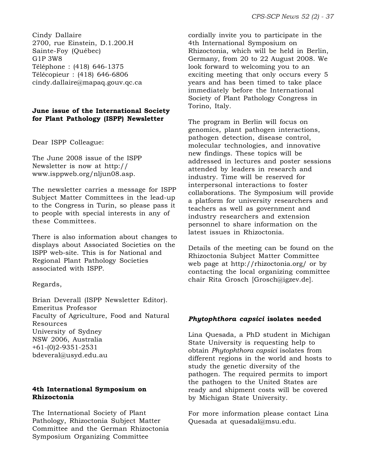Cindy Dallaire 2700, rue Einstein, D.1.200.H Sainte-Foy (Québec) G1P 3W8 Téléphone : (418) 646-1375 Télécopieur : (418) 646-6806 cindy.dallaire@mapaq.gouv.qc.ca

### **June issue of the International Society for Plant Pathology (ISPP) Newsletter**

Dear ISPP Colleague:

The June 2008 issue of the ISPP Newsletter is now at http:// www.isppweb.org/nljun08.asp.

The newsletter carries a message for ISPP Subject Matter Committees in the lead-up to the Congress in Turin, so please pass it to people with special interests in any of these Committees.

There is also information about changes to displays about Associated Societies on the ISPP web-site. This is for National and Regional Plant Pathology Societies associated with ISPP.

### Regards,

Brian Deverall (ISPP Newsletter Editor). Emeritus Professor Faculty of Agriculture, Food and Natural Resources University of Sydney NSW 2006, Australia +61-(0)2-9351-2531 bdeveral@usyd.edu.au

### **4th International Symposium on Rhizoctonia**

The International Society of Plant Pathology, Rhizoctonia Subject Matter Committee and the German Rhizoctonia Symposium Organizing Committee

cordially invite you to participate in the 4th International Symposium on Rhizoctonia, which will be held in Berlin, Germany, from 20 to 22 August 2008. We look forward to welcoming you to an exciting meeting that only occurs every 5 years and has been timed to take place immediately before the International Society of Plant Pathology Congress in Torino, Italy.

The program in Berlin will focus on genomics, plant pathogen interactions, pathogen detection, disease control, molecular technologies, and innovative new findings. These topics will be addressed in lectures and poster sessions attended by leaders in research and industry. Time will be reserved for interpersonal interactions to foster collaborations. The Symposium will provide a platform for university researchers and teachers as well as government and industry researchers and extension personnel to share information on the latest issues in Rhizoctonia.

Details of the meeting can be found on the Rhizoctonia Subject Matter Committee web page at http://rhizoctonia.org/ or by contacting the local organizing committee chair Rita Grosch [Grosch@igzev.de].

### *Phytophthora capsici* **isolates needed**

Lina Quesada, a PhD student in Michigan State University is requesting help to obtain *Phytophthora capsici* isolates from different regions in the world and hosts to study the genetic diversity of the pathogen. The required permits to import the pathogen to the United States are ready and shipment costs will be covered by Michigan State University.

For more information please contact Lina Quesada at quesadal@msu.edu.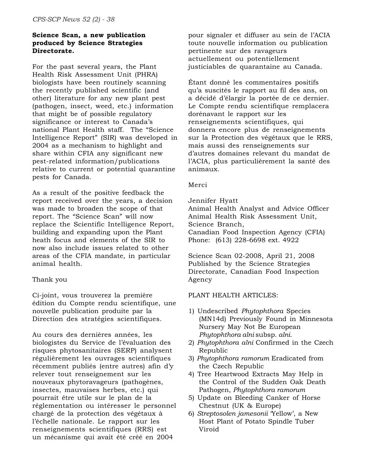### **Science Scan, a new publication produced by Science Strategies Directorate.**

For the past several years, the Plant Health Risk Assessment Unit (PHRA) biologists have been routinely scanning the recently published scientific (and other) literature for any new plant pest (pathogen, insect, weed, etc.) information that might be of possible regulatory significance or interest to Canada's national Plant Health staff. The "Science Intelligence Report" (SIR) was developed in 2004 as a mechanism to highlight and share within CFIA any significant new pest-related information/publications relative to current or potential quarantine pests for Canada.

As a result of the positive feedback the report received over the years, a decision was made to broaden the scope of that report. The "Science Scan" will now replace the Scientific Intelligence Report, building and expanding upon the Plant heath focus and elements of the SIR to now also include issues related to other areas of the CFIA mandate, in particular animal health.

### Thank you

Ci-joint, vous trouverez la première édition du Compte rendu scientifique, une nouvelle publication produite par la Direction des stratégies scientifiques.

Au cours des dernières années, les biologistes du Service de l'évaluation des risques phytosanitaires (SERP) analysent régulièrement les ouvrages scientifiques récemment publiés (entre autres) afin d'y relever tout renseignement sur les nouveaux phytoravageurs (pathogènes, insectes, mauvaises herbes, etc.) qui pourrait être utile sur le plan de la réglementation ou intéresser le personnel chargé de la protection des végétaux à l'échelle nationale. Le rapport sur les renseignements scientifiques (RRS) est un mécanisme qui avait été créé en 2004

pour signaler et diffuser au sein de l'ACIA toute nouvelle information ou publication pertinente sur des ravageurs actuellement ou potentiellement justiciables de quarantaine au Canada.

Étant donné les commentaires positifs qu'a suscités le rapport au fil des ans, on a décidé d'élargir la portée de ce dernier. Le Compte rendu scientifique remplacera dorénavant le rapport sur les renseignements scientifiques, qui donnera encore plus de renseignements sur la Protection des végétaux que le RRS, mais aussi des renseignements sur d'autres domaines relevant du mandat de l'ACIA, plus particulièrement la santé des animaux.

#### Merci

Jennifer Hyatt

Animal Health Analyst and Advice Officer Animal Health Risk Assessment Unit, Science Branch, Canadian Food Inspection Agency (CFIA) Phone: (613) 228-6698 ext. 4922

Science Scan 02-2008, April 21, 2008 Published by the Science Strategies Directorate, Canadian Food Inspection Agency

#### PLANT HEALTH ARTICLES:

- 1) Undescribed *Phytophthora* Species (MN14d) Previously Found in Minnesota Nursery May Not Be European *Phytophthora alni* subsp. *alni*.
- 2) *Phytophthora alni* Confirmed in the Czech Republic
- 3) *Phytophthora ramorum* Eradicated from the Czech Republic
- 4) Tree Heartwood Extracts May Help in the Control of the Sudden Oak Death Pathogen, *Phytophthora ramorum*
- 5) Update on Bleeding Canker of Horse Chestnut (UK & Europe)
- 6) *Streptosolen jamesonii* 'Yellow', a New Host Plant of Potato Spindle Tuber Viroid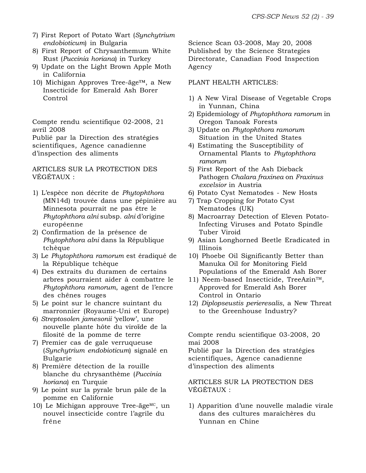- 7) First Report of Potato Wart (*Synchytrium endobioticum*) in Bulgaria
- 8) First Report of Chrysanthemum White Rust (*Puccinia horiana*) in Turkey
- 9) Update on the Light Brown Apple Moth in California
- 10) Michigan Approves Tree-äge™, a New Insecticide for Emerald Ash Borer Control

Compte rendu scientifique 02-2008, 21 avril 2008

Publié par la Direction des stratégies scientifiques, Agence canadienne d'inspection des aliments

ARTICLES SUR LA PROTECTION DES VÉGÉTAUX :

- 1) L'espèce non décrite de *Phytophthora* (MN14d) trouvée dans une pépinière au Minnesota pourrait ne pas être le *Phytophthora alni* subsp. *alni* d'origine européenne
- 2) Confirmation de la présence de *Phytophthora alni* dans la République tchèque
- 3) Le *Phytophthora ramorum* est éradiqué de la République tchèque
- 4) Des extraits du duramen de certains arbres pourraient aider à combattre le *Phytophthora ramorum*, agent de l'encre des chênes rouges
- 5) Le point sur le chancre suintant du marronnier (Royaume-Uni et Europe)
- 6) *Streptosolen jamesonii* 'yellow', une nouvelle plante hôte du viroïde de la filosité de la pomme de terre
- 7) Premier cas de gale verruqueuse (*Synchytrium endobioticum*) signalé en Bulgarie
- 8) Première détection de la rouille blanche du chrysanthème (*Puccinia horiana*) en Turquie
- 9) Le point sur la pyrale brun pâle de la pomme en Californie
- 10) Le Michigan approuve Tree-äge $MC$ , un nouvel insecticide contre l'agrile du frêne

Science Scan 03-2008, May 20, 2008 Published by the Science Strategies Directorate, Canadian Food Inspection Agency

### PLANT HEALTH ARTICLES:

- 1) A New Viral Disease of Vegetable Crops in Yunnan, China
- 2) Epidemiology of *Phytophthora ramorum* in Oregon Tanoak Forests
- 3) Update on *Phytophthora ramorum* Situation in the United States
- 4) Estimating the Susceptibility of Ornamental Plants to *Phytophthora ramorum*
- 5) First Report of the Ash Dieback Pathogen *Chalara fraxinea* on *Fraxinus excelsior* in Austria
- 6) Potato Cyst Nematodes New Hosts
- 7) Trap Cropping for Potato Cyst Nematodes (UK)
- 8) Macroarray Detection of Eleven Potato-Infecting Viruses and Potato Spindle Tuber Viroid
- 9) Asian Longhorned Beetle Eradicated in Illinois
- 10) Phoebe Oil Significantly Better than Manuka Oil for Monitoring Field Populations of the Emerald Ash Borer
- 11) Neem-based Insecticide, TreeAzin™, Approved for Emerald Ash Borer Control in Ontario
- 12) *Diplopseustis perieresalis*, a New Threat to the Greenhouse Industry?

Compte rendu scientifique 03-2008, 20 mai 2008

Publié par la Direction des stratégies scientifiques, Agence canadienne d'inspection des aliments

ARTICLES SUR LA PROTECTION DES VÉGÉTAUX :

1) Apparition d'une nouvelle maladie virale dans des cultures maraîchères du Yunnan en Chine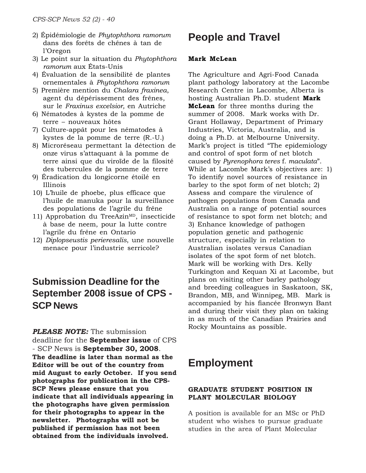- 2) Épidémiologie de *Phytophthora ramorum* dans des forêts de chênes à tan de l'Oregon
- 3) Le point sur la situation du *Phytophthora ramorum* aux États-Unis
- 4) Évaluation de la sensibilité de plantes ornementales à *Phytophthora ramorum*
- 5) Première mention du *Chalara fraxinea*, agent du dépérissement des frênes, sur le *Fraxinus excelsior,* en Autriche
- 6) Nématodes à kystes de la pomme de terre – nouveaux hôtes
- 7) Culture-appât pour les nématodes à kystes de la pomme de terre (R.-U.)
- 8) Microréseau permettant la détection de onze virus s'attaquant à la pomme de terre ainsi que du viroïde de la filosité des tubercules de la pomme de terre
- 9) Éradication du longicorne étoilé en Illinois
- 10) L'huile de phoebe, plus efficace que l'huile de manuka pour la surveillance des populations de l'agrile du frêne
- 11) Approbation du TreeAzin<sup>MD</sup>, insecticide à base de neem, pour la lutte contre l'agrile du frêne en Ontario
- 12) *Diplopseustis perieresalis*, une nouvelle menace pour l'industrie serricole?

### **Submission Deadline for the September 2008 issue of CPS - SCP News**

### *PLEASE NOTE:* The submission

deadline for the **September issue** of CPS - SCP News is **September 30, 2008**. **The deadline is later than normal as the Editor will be out of the country from mid August to early October. If you send photographs for publication in the CPS-SCP News please ensure that you indicate that all individuals appearing in the photographs have given permission for their photographs to appear in the newsletter. Photographs will not be published if permission has not been obtained from the individuals involved.**

## **People and Travel**

### **Mark McLean**

The Agriculture and Agri-Food Canada plant pathology laboratory at the Lacombe Research Centre in Lacombe, Alberta is hosting Australian Ph.D. student **Mark McLean** for three months during the summer of 2008. Mark works with Dr. Grant Hollaway, Department of Primary Industries, Victoria, Australia, and is doing a Ph.D. at Melbourne University. Mark's project is titled "The epidemiology and control of spot form of net blotch caused by *Pyrenophora teres* f. *maculata*". While at Lacombe Mark's objectives are: 1) To identify novel sources of resistance in barley to the spot form of net blotch; 2) Assess and compare the virulence of pathogen populations from Canada and Australia on a range of potential sources of resistance to spot form net blotch; and 3) Enhance knowledge of pathogen population genetic and pathogenic structure, especially in relation to Australian isolates versus Canadian isolates of the spot form of net blotch. Mark will be working with Drs. Kelly Turkington and Kequan Xi at Lacombe, but plans on visiting other barley pathology and breeding colleagues in Saskatoon, SK, Brandon, MB, and Winnipeg, MB. Mark is accompanied by his fiancée Bronwyn Bant and during their visit they plan on taking in as much of the Canadian Prairies and Rocky Mountains as possible.

### **Employment**

### **GRADUATE STUDENT POSITION IN PLANT MOLECULAR BIOLOGY**

A position is available for an MSc or PhD student who wishes to pursue graduate studies in the area of Plant Molecular